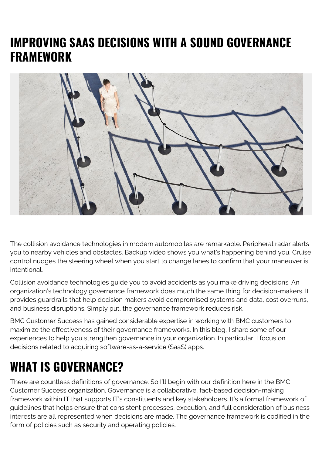### **IMPROVING SAAS DECISIONS WITH A SOUND GOVERNANCE FRAMEWORK**



The collision avoidance technologies in modern automobiles are remarkable. Peripheral radar alerts you to nearby vehicles and obstacles. Backup video shows you what's happening behind you. Cruise control nudges the steering wheel when you start to change lanes to confirm that your maneuver is intentional.

Collision avoidance technologies guide you to avoid accidents as you make driving decisions. An organization's technology governance framework does much the same thing for decision-makers. It provides guardrails that help decision makers avoid compromised systems and data, cost overruns, and business disruptions. Simply put, the governance framework reduces risk.

BMC Customer Success has gained considerable expertise in working with BMC customers to maximize the effectiveness of their governance frameworks. In this blog, I share some of our experiences to help you strengthen governance in your organization. In particular, I focus on decisions related to acquiring software-as-a-service (SaaS) apps.

### **WHAT IS GOVERNANCE?**

There are countless definitions of governance. So I'll begin with our definition here in the BMC Customer Success organization. Governance is a collaborative, fact-based decision-making framework within IT that supports IT's constituents and key stakeholders. It's a formal framework of guidelines that helps ensure that consistent processes, execution, and full consideration of business interests are all represented when decisions are made. The governance framework is codified in the form of policies such as security and operating policies.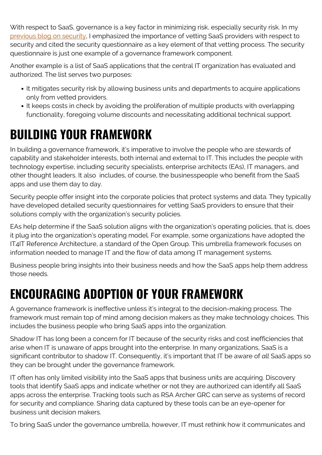With respect to SaaS, governance is a key factor in minimizing risk, especially security risk. In my [previous blog on security](https://blogs.bmc.com/blogs/unlocking-the-gate-to-saas-security/), I emphasized the importance of vetting SaaS providers with respect to security and cited the security questionnaire as a key element of that vetting process. The security questionnaire is just one example of a governance framework component.

Another example is a list of SaaS applications that the central IT organization has evaluated and authorized. The list serves two purposes:

- It mitigates security risk by allowing business units and departments to acquire applications only from vetted providers.
- It keeps costs in check by avoiding the proliferation of multiple products with overlapping functionality, foregoing volume discounts and necessitating additional technical support.

# **BUILDING YOUR FRAMEWORK**

In building a governance framework, it's imperative to involve the people who are stewards of capability and stakeholder interests, both internal and external to IT. This includes the people with technology expertise, including security specialists, enterprise architects (EAs), IT managers, and other thought leaders. It also includes, of course, the businesspeople who benefit from the SaaS apps and use them day to day.

Security people offer insight into the corporate policies that protect systems and data. They typically have developed detailed security questionnaires for vetting SaaS providers to ensure that their solutions comply with the organization's security policies.

EAs help determine if the SaaS solution aligns with the organization's operating policies, that is, does it plug into the organization's operating model. For example, some organizations have adopted the IT4IT Reference Architecture, a standard of the Open Group. This umbrella framework focuses on information needed to manage IT and the flow of data among IT management systems.

Business people bring insights into their business needs and how the SaaS apps help them address those needs.

### **ENCOURAGING ADOPTION OF YOUR FRAMEWORK**

A governance framework is ineffective unless it's integral to the decision-making process. The framework must remain top of mind among decision makers as they make technology choices. This includes the business people who bring SaaS apps into the organization.

Shadow IT has long been a concern for IT because of the security risks and cost inefficiencies that arise when IT is unaware of apps brought into the enterprise. In many organizations, SaaS is a significant contributor to shadow IT. Consequently, it's important that IT be aware of *all* SaaS apps so they can be brought under the governance framework.

IT often has only limited visibility into the SaaS apps that business units are acquiring. Discovery tools that identify SaaS apps and indicate whether or not they are authorized can identify all SaaS apps across the enterprise. Tracking tools such as RSA Archer GRC can serve as systems of record for security and compliance. Sharing data captured by these tools can be an eye-opener for business unit decision makers.

To bring SaaS under the governance umbrella, however, IT must rethink how it communicates and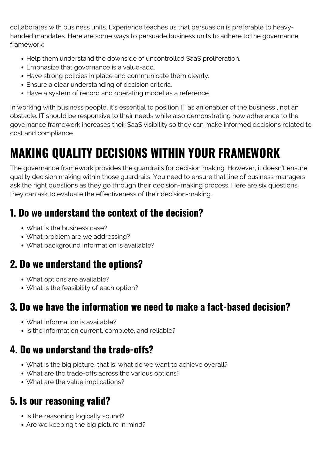collaborates with business units. Experience teaches us that persuasion is preferable to heavyhanded mandates. Here are some ways to persuade business units to adhere to the governance framework:

- Help them understand the downside of uncontrolled SaaS proliferation.
- Emphasize that governance is a value-add.
- Have strong policies in place and communicate them clearly.
- Ensure a clear understanding of decision criteria.
- Have a system of record and operating model as a reference.

In working with business people, it's essential to position IT as an enabler of the business , not an obstacle. IT should be responsive to their needs while also demonstrating how adherence to the governance framework increases their SaaS visibility so they can make informed decisions related to cost and compliance.

# **MAKING QUALITY DECISIONS WITHIN YOUR FRAMEWORK**

The governance framework provides the guardrails for decision making. However, it doesn't ensure quality decision making within those guardrails. You need to ensure that line of business managers ask the right questions as they go through their decision-making process. Here are six questions they can ask to evaluate the effectiveness of their decision-making.

#### **1. Do we understand the context of the decision?**

- What is the business case?
- What problem are we addressing?
- What background information is available?

#### **2. Do we understand the options?**

- What options are available?
- What is the feasibility of each option?

#### **3. Do we have the information we need to make a fact-based decision?**

- What information is available?
- Is the information current, complete, and reliable?

#### **4. Do we understand the trade-offs?**

- What is the big picture, that is, what do we want to achieve overall?
- What are the trade-offs across the various options?
- What are the value implications?

#### **5. Is our reasoning valid?**

- Is the reasoning logically sound?
- Are we keeping the big picture in mind?